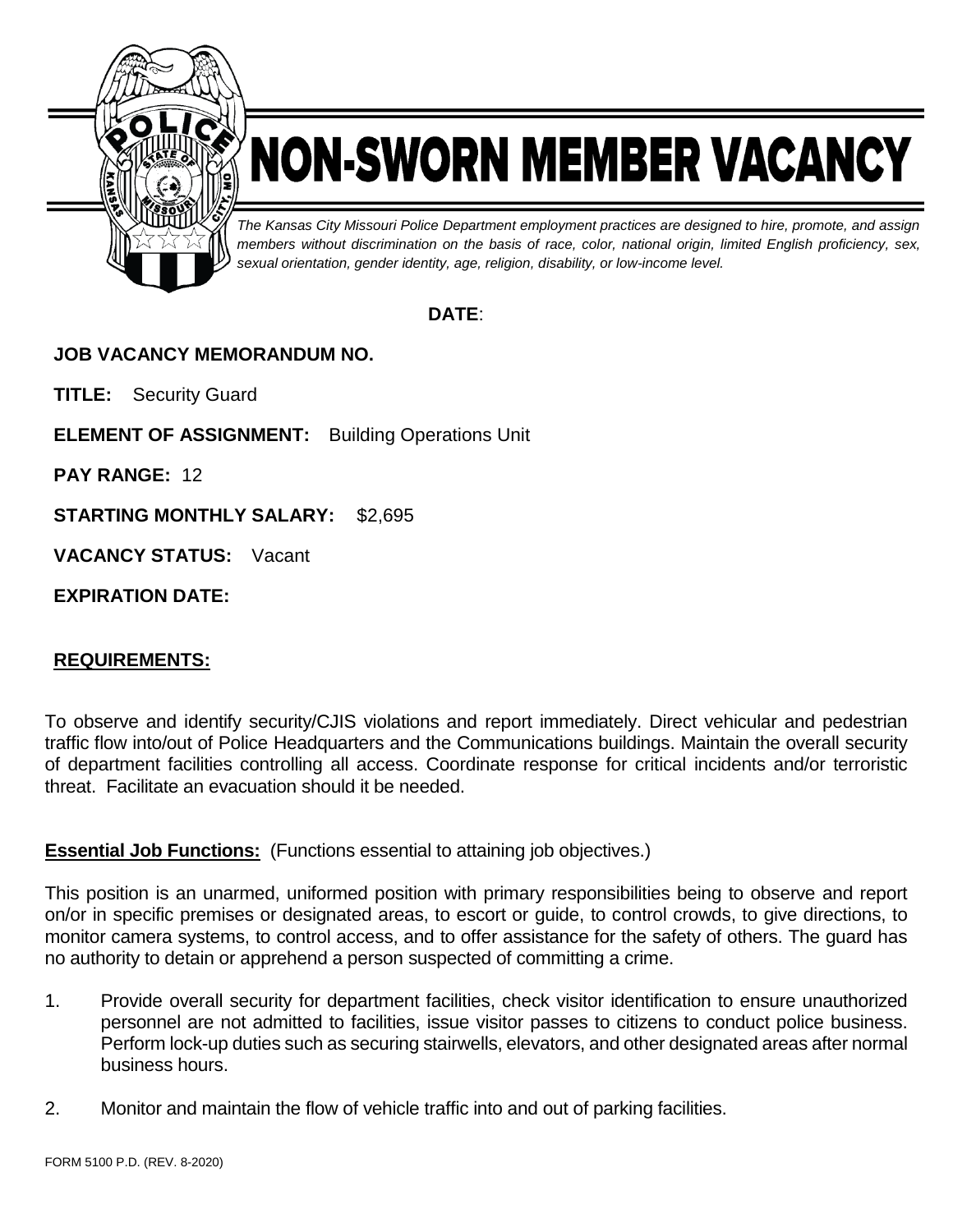

# NON-SWORN MEMBER VACANCY

*The Kansas City Missouri Police Department employment practices are designed to hire, promote, and assign members without discrimination on the basis of race, color, national origin, limited English proficiency, sex, sexual orientation, gender identity, age, religion, disability, or low-income level.*

## **DATE**:

## **JOB VACANCY MEMORANDUM NO.**

**TITLE:** Security Guard

**ELEMENT OF ASSIGNMENT:** Building Operations Unit

**PAY RANGE:** 12

**STARTING MONTHLY SALARY:** \$2,695

**VACANCY STATUS:** Vacant

**EXPIRATION DATE:**

## **REQUIREMENTS:**

To observe and identify security/CJIS violations and report immediately. Direct vehicular and pedestrian traffic flow into/out of Police Headquarters and the Communications buildings. Maintain the overall security of department facilities controlling all access. Coordinate response for critical incidents and/or terroristic threat. Facilitate an evacuation should it be needed.

#### **Essential Job Functions:** (Functions essential to attaining job objectives.)

This position is an unarmed, uniformed position with primary responsibilities being to observe and report on/or in specific premises or designated areas, to escort or guide, to control crowds, to give directions, to monitor camera systems, to control access, and to offer assistance for the safety of others. The guard has no authority to detain or apprehend a person suspected of committing a crime.

- 1. Provide overall security for department facilities, check visitor identification to ensure unauthorized personnel are not admitted to facilities, issue visitor passes to citizens to conduct police business. Perform lock-up duties such as securing stairwells, elevators, and other designated areas after normal business hours.
- 2. Monitor and maintain the flow of vehicle traffic into and out of parking facilities.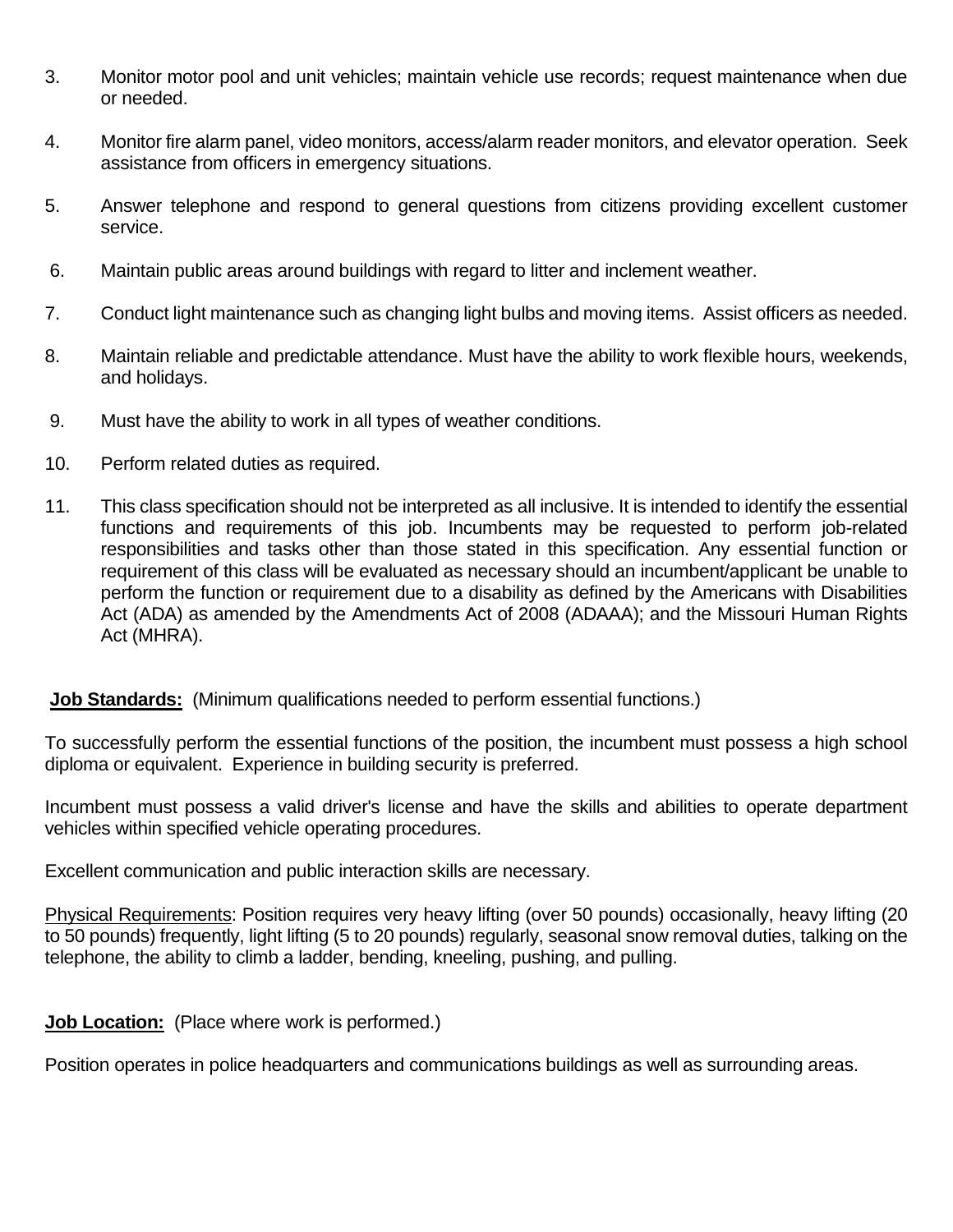- 3. Monitor motor pool and unit vehicles; maintain vehicle use records; request maintenance when due or needed.
- 4. Monitor fire alarm panel, video monitors, access/alarm reader monitors, and elevator operation. Seek assistance from officers in emergency situations.
- 5. Answer telephone and respond to general questions from citizens providing excellent customer service.
- 6. Maintain public areas around buildings with regard to litter and inclement weather.
- 7. Conduct light maintenance such as changing light bulbs and moving items. Assist officers as needed.
- 8. Maintain reliable and predictable attendance. Must have the ability to work flexible hours, weekends, and holidays.
- 9. Must have the ability to work in all types of weather conditions.
- 10. Perform related duties as required.
- 11. This class specification should not be interpreted as all inclusive. It is intended to identify the essential functions and requirements of this job. Incumbents may be requested to perform job-related responsibilities and tasks other than those stated in this specification. Any essential function or requirement of this class will be evaluated as necessary should an incumbent/applicant be unable to perform the function or requirement due to a disability as defined by the Americans with Disabilities Act (ADA) as amended by the Amendments Act of 2008 (ADAAA); and the Missouri Human Rights Act (MHRA).

#### **Job Standards:** (Minimum qualifications needed to perform essential functions.)

To successfully perform the essential functions of the position, the incumbent must possess a high school diploma or equivalent. Experience in building security is preferred.

Incumbent must possess a valid driver's license and have the skills and abilities to operate department vehicles within specified vehicle operating procedures.

Excellent communication and public interaction skills are necessary.

Physical Requirements: Position requires very heavy lifting (over 50 pounds) occasionally, heavy lifting (20 to 50 pounds) frequently, light lifting (5 to 20 pounds) regularly, seasonal snow removal duties, talking on the telephone, the ability to climb a ladder, bending, kneeling, pushing, and pulling.

**Job Location:** (Place where work is performed.)

Position operates in police headquarters and communications buildings as well as surrounding areas.